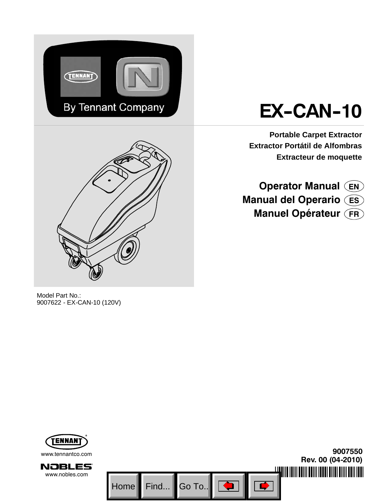



# **EX-CAN-10**

**Portable Carpet Extractor Extractor Portátil de Alfombras Extracteur de moquette**

**Operator Manual EN Manual del Operario ES Manuel Opérateur FR**

Model Part No.: 9007622 - EX-CAN-10 (120V)

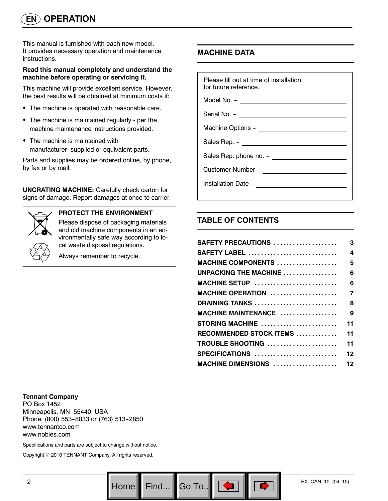This manual is furnished with each new model. It provides necessary operation and maintenance instructions.

#### **Read this manual completely and understand the machine before operating or servicing it.**

This machine will provide excellent service. However, the best results will be obtained at minimum costs if:

- The machine is operated with reasonable care.
- The machine is maintained regularly per the machine maintenance instructions provided.
- The machine is maintained with manufacturer--supplied or equivalent parts.

Parts and supplies may be ordered online, by phone, by fax or by mail.

**UNCRATING MACHINE:** Carefully check carton for signs of damage. Report damages at once to carrier.



#### **PROTECT THE ENVIRONMENT**

Please dispose of packaging materials and old machine components in an environmentally safe way according to local waste disposal regulations.

Always remember to recycle.

# **MACHINE DATA**

| Please fill out at time of installation<br>for future reference. |  |  |
|------------------------------------------------------------------|--|--|
| Model No. - ________________________                             |  |  |
|                                                                  |  |  |
|                                                                  |  |  |
|                                                                  |  |  |
| Sales Rep. phone no. -                                           |  |  |
|                                                                  |  |  |
|                                                                  |  |  |

# **TABLE OF CONTENTS**

Go To.. $\|$ 

| SAFETY PRECAUTIONS                                      | 3              |
|---------------------------------------------------------|----------------|
| <b>SAFETY LABEL</b>                                     | 4              |
| MACHINE COMPONENTS $\ldots \ldots \ldots \ldots \ldots$ | 5              |
| UNPACKING THE MACHINE                                   | 6              |
| MACHINE SETUP                                           | 6              |
| <b>MACHINE OPERATION </b>                               | $\overline{7}$ |
| DRAINING TANKS                                          | 8              |
| MACHINE MAINTENANCE                                     | 9              |
| STORING MACHINE                                         | 11             |
| RECOMMENDED STOCK ITEMS                                 | 11             |
| TROUBLE SHOOTING                                        | 11             |
| SPECIFICATIONS                                          | 12             |
| MACHINE DIMENSIONS  12                                  |                |
|                                                         |                |

#### **Tennant Company**

PO Box 1452 Minneapolis, MN 55440 USA Phone: (800) 553-8033 or (763) 513-2850 www.tennantco.com www.nobles.com

Specifications and parts are subject to change without notice.

Copyright © 2010 TENNANT Company. All rights reserved.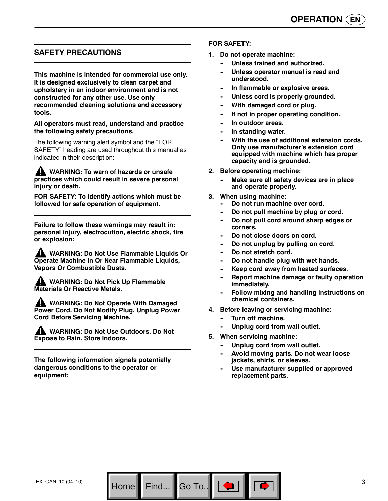# **SAFETY PRECAUTIONS**

**This machine is intended for commercial use only. It is designed exclusively to clean carpet and upholstery in an indoor environment and is not constructed for any other use. Use only recommended cleaning solutions and accessory tools.**

#### **All operators must read, understand and practice the following safety precautions.**

The following warning alert symbol and the "FOR SAFETY" heading are used throughout this manual as indicated in their description:

**WARNING: To warn of hazards or unsafe practices which could result in severe personal injury or death.**

**FOR SAFETY: To identify actions which must be followed for safe operation of equipment.**

**Failure to follow these warnings may result in: personal injury, electrocution, electric shock, fire or explosion:**

**WARNING: Do Not Use Flammable Liquids Or Operate Machine In Or Near Flammable Liquids, Vapors Or Combustible Dusts.**

**WARNING: Do Not Pick Up Flammable Materials Or Reactive Metals.**

**A WARNING: Do Not Operate With Damaged Power Cord. Do Not Modify Plug. Unplug Power Cord Before Servicing Machine.**

**WARNING: Do Not Use Outdoors. Do Not Expose to Rain. Store Indoors.**

**The following information signals potentially dangerous conditions to the operator or equipment:**

Home Find... Go To..

#### **FOR SAFETY:**

- **1. Do not operate machine:**
	- Unless trained and authorized.
	- Unless operator manual is read and **understood.**
	- **In flammable or explosive areas.**
	- Unless cord is properly grounded.
	- **With damaged cord or plug.**
	- If not in proper operating condition.
	- In outdoor areas.
	- **In standing water.**
	- With the use of additional extension cords. **Only use manufacturer's extension cord equipped with machine which has proper capacity and is grounded.**
- **2. Before operating machine:**
	- **Make sure all safety devices are in place and operate properly.**
- **3. When using machine:**
	- Do not run machine over cord.
	- Do not pull machine by plug or cord.
	- Do not pull cord around sharp edges or **corners.**
	- Do not close doors on cord.
	- Do not unplug by pulling on cord.
	- Do not stretch cord.
	- Do not handle plug with wet hands.
	- Keep cord away from heated surfaces.
	- **Report machine damage or faulty operation immediately.**
	- **Follow mixing and handling instructions on chemical containers.**
- **4. Before leaving or servicing machine:**
	- **Turn off machine.**
	- Unplug cord from wall outlet.
- **5. When servicing machine:**
	- Unplug cord from wall outlet.
	- Avoid moving parts. Do not wear loose **jackets, shirts, or sleeves.**
	- Use manufacturer supplied or approved **replacement parts.**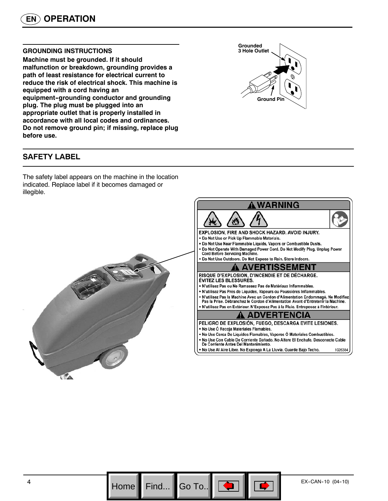#### **GROUNDING INSTRUCTIONS**

**Machine must be grounded. If it should malfunction or breakdown, grounding provides a path of least resistance for electrical current to reduce the risk of electrical shock. This machine is equipped with a cord having an** equipment-grounding conductor and grounding **plug. The plug must be plugged into an appropriate outlet that is properly installed in accordance with all local codes and ordinances. Do not remove ground pin; if missing, replace plug before use.**

# **Grounded 3 Hole Outlet Ground Pin**

# **SAFETY LABEL**

The safety label appears on the machine in the location indicated. Replace label if it becomes damaged or illegible.



Go To..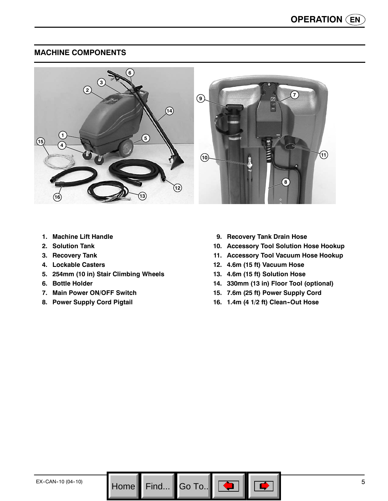# **MACHINE COMPONENTS**



- **1. Machine Lift Handle**
- **2. Solution Tank**
- **3. Recovery Tank**
- **4. Lockable Casters**
- **5. 254mm (10 in) Stair Climbing Wheels**
- **6. Bottle Holder**
- **7. Main Power ON/OFF Switch**
- **8. Power Supply Cord Pigtail**
- **9. Recovery Tank Drain Hose**
- **10. Accessory Tool Solution Hose Hookup**
- **11. Accessory Tool Vacuum Hose Hookup**
- **12. 4.6m (15 ft) Vacuum Hose**
- **13. 4.6m (15 ft) Solution Hose**
- **14. 330mm (13 in) Floor Tool (optional)**
- **15. 7.6m (25 ft) Power Supply Cord**
- 16. 1.4m (4 1/2 ft) Clean-Out Hose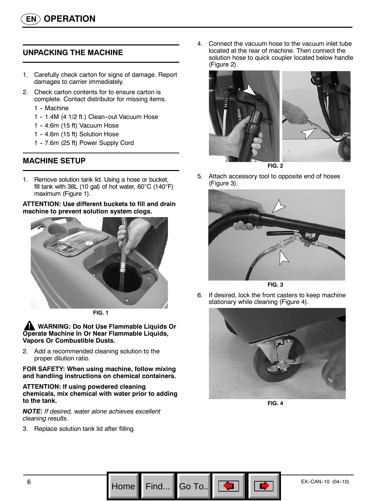# **UNPACKING THE MACHINE**

- 1. Carefully check carton for signs of damage. Report damages to carrier immediately.
- 2. Check carton contents for to ensure carton is complete. Contact distributor for missing items.
	- 1 Machine
	- 1 1.4M (4 1/2 ft.) Clean-out Vacuum Hose
	- 1 4.6m (15 ft) Vacuum Hose
	- 1 -- 4.6m (15 ft) Solution Hose
	- 1 7.6m (25 ft) Power Supply Cord

# **MACHINE SETUP**

1. Remove solution tank lid. Using a hose or bucket, fill tank with 38L (10 gal) of hot water, 60°C (140°F) maximum (Figure 1).

#### **ATTENTION: Use different buckets to fill and drain machine to prevent solution system clogs.**



**FIG. 1**

**WARNING: Do Not Use Flammable Liquids Or Operate Machine In Or Near Flammable Liquids, Vapors Or Combustible Dusts.**

2. Add a recommended cleaning solution to the proper dilution ratio.

**FOR SAFETY: When using machine, follow mixing and handling instructions on chemical containers.**

#### **ATTENTION: If using powdered cleaning chemicals, mix chemical with water prior to adding to the tank.**

*NOTE: If desired, water alone achieves excellent cleaning results.*

3. Replace solution tank lid after filling.

4. Connect the vacuum hose to the vacuum inlet tube located at the rear of machine. Then connect the solution hose to quick coupler located below handle (Figure 2).



**FIG. 2**

5. Attach accessory tool to opposite end of hoses (Figure 3).





6. If desired, lock the front casters to keep machine stationary while cleaning (Figure 4).



**FIG. 4**



Go To.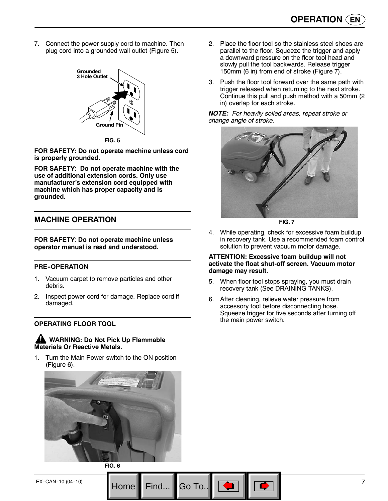7. Connect the power supply cord to machine. Then plug cord into a grounded wall outlet (Figure 5).



**FOR SAFETY: Do not operate machine unless cord is properly grounded.**

**FOR SAFETY: Do not operate machine with the use of additional extension cords. Only use manufacturer's extension cord equipped with machine which has proper capacity and is grounded.**

# **MACHINE OPERATION**

**FOR SAFETY**: **Do not operate machine unless operator manual is read and understood.**

#### **PRE--OPERATION**

- 1. Vacuum carpet to remove particles and other debris.
- 2. Inspect power cord for damage. Replace cord if damaged.

#### **OPERATING FLOOR TOOL**

**WARNING: Do Not Pick Up Flammable Materials Or Reactive Metals.**

1. Turn the Main Power switch to the ON position (Figure 6).



**FIG. 6**

- 2. Place the floor tool so the stainless steel shoes are parallel to the floor. Squeeze the trigger and apply a downward pressure on the floor tool head and slowly pull the tool backwards. Release trigger 150mm (6 in) from end of stroke (Figure 7).
- 3. Push the floor tool forward over the same path with trigger released when returning to the next stroke. Continue this pull and push method with a 50mm (2 in) overlap for each stroke.

*NOTE: For heavily soiled areas, repeat stroke or change angle of stroke.*



**FIG. 7**

4. While operating, check for excessive foam buildup in recovery tank. Use a recommended foam control solution to prevent vacuum motor damage.

#### **ATTENTION: Excessive foam buildup will not activate the float shut-off screen. Vacuum motor damage may result.**

- 5. When floor tool stops spraying, you must drain recovery tank (See DRAINING TANKS).
- 6. After cleaning, relieve water pressure from accessory tool before disconnecting hose. Squeeze trigger for five seconds after turning off the main power switch.

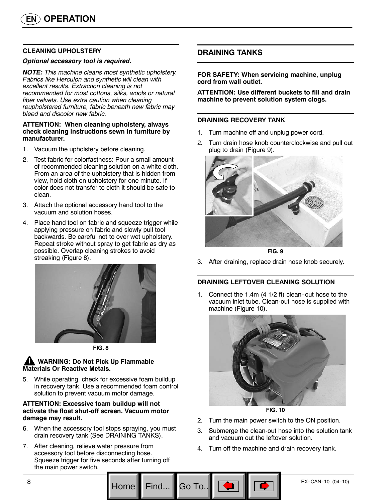#### **CLEANING UPHOLSTERY**

#### *Optional accessory tool is required.*

*NOTE: This machine cleans most synthetic upholstery. Fabrics like Herculon and synthetic will clean with excellent results. Extraction cleaning is not recommended for most cottons, silks, wools or natural fiber velvets. Use extra caution when cleaning reupholstered furniture, fabric beneath new fabric may bleed and discolor new fabric.*

#### **ATTENTION: When cleaning upholstery, always check cleaning instructions sewn in furniture by manufacturer.**

- 1. Vacuum the upholstery before cleaning.
- 2. Test fabric for colorfastness: Pour a small amount of recommended cleaning solution on a white cloth. From an area of the upholstery that is hidden from view, hold cloth on upholstery for one minute. If color does not transfer to cloth it should be safe to clean.
- 3. Attach the optional accessory hand tool to the vacuum and solution hoses.
- 4. Place hand tool on fabric and squeeze trigger while applying pressure on fabric and slowly pull tool backwards. Be careful not to over wet upholstery. Repeat stroke without spray to get fabric as dry as possible. Overlap cleaning strokes to avoid streaking (Figure 8).





# **WARNING: Do Not Pick Up Flammable Materials Or Reactive Metals.**

5. While operating, check for excessive foam buildup in recovery tank. Use a recommended foam control solution to prevent vacuum motor damage.

#### **ATTENTION: Excessive foam buildup will not activate the float shut-off screen. Vacuum motor damage may result.**

- 6. When the accessory tool stops spraying, you must drain recovery tank (See DRAINING TANKS).
- 7. After cleaning, relieve water pressure from accessory tool before disconnecting hose. Squeeze trigger for five seconds after turning off the main power switch.

# **DRAINING TANKS**

**FOR SAFETY: When servicing machine, unplug cord from wall outlet.**

**ATTENTION: Use different buckets to fill and drain machine to prevent solution system clogs.**

#### **DRAINING RECOVERY TANK**

- 1. Turn machine off and unplug power cord.
- 2. Turn drain hose knob counterclockwise and pull out plug to drain (Figure 9).



**FIG. 9**

3. After draining, replace drain hose knob securely.

#### **DRAINING LEFTOVER CLEANING SOLUTION**

1. Connect the  $1.4m$  (4  $1/2$  ft) clean-out hose to the vacuum inlet tube. Clean-out hose is supplied with machine (Figure 10).



**FIG. 10**

- 2. Turn the main power switch to the ON position.
- 3. Submerge the clean-out hose into the solution tank and vacuum out the leftover solution.
- 4. Turn off the machine and drain recovery tank.

Go To.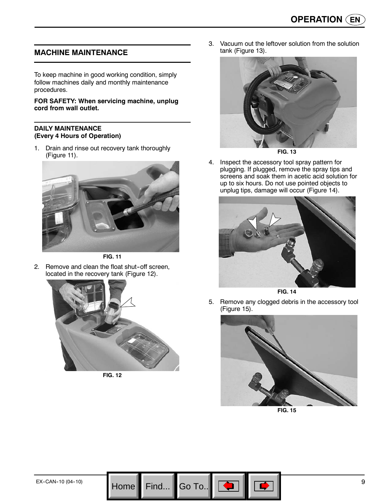# **MACHINE MAINTENANCE**

To keep machine in good working condition, simply follow machines daily and monthly maintenance procedures.

#### **FOR SAFETY: When servicing machine, unplug cord from wall outlet.**

#### **DAILY MAINTENANCE (Every 4 Hours of Operation)**

1. Drain and rinse out recovery tank thoroughly (Figure 11).



**FIG. 11**

2. Remove and clean the float shut-off screen, located in the recovery tank (Figure 12).



**FIG. 12**

3. Vacuum out the leftover solution from the solution tank (Figure 13).



**FIG. 13**

4. Inspect the accessory tool spray pattern for plugging. If plugged, remove the spray tips and screens and soak them in acetic acid solution for up to six hours. Do not use pointed objects to unplug tips, damage will occur (Figure 14).



**FIG. 14**

5. Remove any clogged debris in the accessory tool (Figure 15).



**FIG. 15**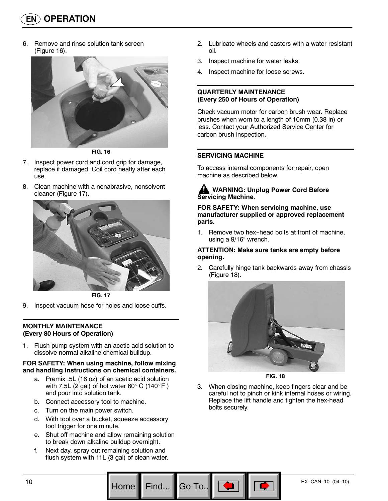6. Remove and rinse solution tank screen (Figure 16).



**FIG. 16**

- 7. Inspect power cord and cord grip for damage, replace if damaged. Coil cord neatly after each use.
- 8. Clean machine with a nonabrasive, nonsolvent cleaner (Figure 17).



**FIG. 17**

9. Inspect vacuum hose for holes and loose cuffs.

#### **MONTHLY MAINTENANCE (Every 80 Hours of Operation)**

1. Flush pump system with an acetic acid solution to dissolve normal alkaline chemical buildup.

#### **FOR SAFETY: When using machine, follow mixing and handling instructions on chemical containers.**

- a. Premix .5L (16 oz) of an acetic acid solution with 7.5L (2 gal) of hot water 60 $^{\circ}$  C (140 $^{\circ}$  F) and pour into solution tank.
- b. Connect accessory tool to machine.
- c. Turn on the main power switch.
- d. With tool over a bucket, squeeze accessory tool trigger for one minute.
- e. Shut off machine and allow remaining solution to break down alkaline buildup overnight.
- f. Next day, spray out remaining solution and flush system with 11L (3 gal) of clean water.
- 2. Lubricate wheels and casters with a water resistant oil.
- 3. Inspect machine for water leaks.
- 4. Inspect machine for loose screws.

#### **QUARTERLY MAINTENANCE (Every 250 of Hours of Operation)**

Check vacuum motor for carbon brush wear. Replace brushes when worn to a length of 10mm (0.38 in) or less. Contact your Authorized Service Center for carbon brush inspection.

# **SERVICING MACHINE**

To access internal components for repair, open machine as described below.

## **WARNING: Unplug Power Cord Before Servicing Machine.**

**FOR SAFETY: When servicing machine, use manufacturer supplied or approved replacement parts.**

1. Remove two hex-head bolts at front of machine, using a 9/16" wrench.

#### **ATTENTION: Make sure tanks are empty before opening.**

2. Carefully hinge tank backwards away from chassis (Figure 18).



**FIG. 18**

3. When closing machine, keep fingers clear and be careful not to pinch or kink internal hoses or wiring. Replace the lift handle and tighten the hex-head bolts securely.

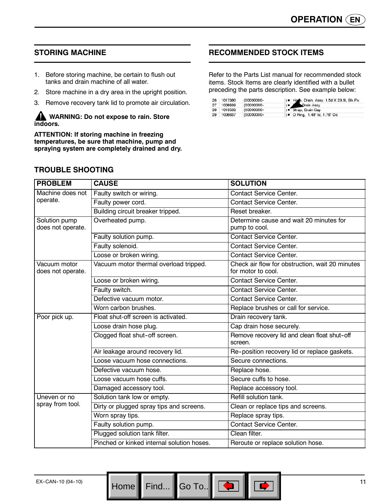# **STORING MACHINE**

- 1. Before storing machine, be certain to flush out tanks and drain machine of all water.
- 2. Store machine in a dry area in the upright position.
- 3. Remove recovery tank lid to promote air circulation.

#### **WARNING: Do not expose to rain. Store indoors.**

**ATTENTION: If storing machine in freezing temperatures, be sure that machine, pump and spraying system are completely drained and dry.**

# **RECOMMENDED STOCK ITEMS**

Refer to the Parts List manual for recommended stock items. Stock Items are clearly identified with a bullet preceding the parts description. See example below:

| 26 | 1017380    | (00000000- | ) . Hose, Drain, Assy, 1.5d X 29.5l, Blk, Flx |  |
|----|------------|------------|-----------------------------------------------|--|
| 27 | 1008639    | (00000000- | <b>C</b> Drain Assy                           |  |
|    | 28 1019563 | (00000000- | ) · Strap, Drain Cap                          |  |
| 29 | 1008637    | (00000000- | ) ● O Ring, 1.48" ld, 1.76" Od                |  |

# **TROUBLE SHOOTING**

| <b>PROBLEM</b>                     | <b>CAUSE</b>                               | <b>SOLUTION</b>                                                       |
|------------------------------------|--------------------------------------------|-----------------------------------------------------------------------|
| Machine does not                   | Faulty switch or wiring.                   | <b>Contact Service Center.</b>                                        |
| operate.                           | Faulty power cord.                         | <b>Contact Service Center.</b>                                        |
|                                    | Building circuit breaker tripped.          | Reset breaker.                                                        |
| Solution pump<br>does not operate. | Overheated pump.                           | Determine cause and wait 20 minutes for<br>pump to cool.              |
|                                    | Faulty solution pump.                      | Contact Service Center.                                               |
|                                    | Faulty solenoid.                           | <b>Contact Service Center.</b>                                        |
|                                    | Loose or broken wiring.                    | <b>Contact Service Center.</b>                                        |
| Vacuum motor<br>does not operate.  | Vacuum motor thermal overload tripped.     | Check air flow for obstruction, wait 20 minutes<br>for motor to cool. |
|                                    | Loose or broken wiring.                    | Contact Service Center.                                               |
|                                    | Faulty switch.                             | <b>Contact Service Center.</b>                                        |
|                                    | Defective vacuum motor.                    | <b>Contact Service Center.</b>                                        |
|                                    | Worn carbon brushes.                       | Replace brushes or call for service.                                  |
| Poor pick up.                      | Float shut-off screen is activated.        | Drain recovery tank.                                                  |
|                                    | Loose drain hose plug.                     | Cap drain hose securely.                                              |
|                                    | Clogged float shut-off screen.             | Remove recovery lid and clean float shut-off<br>screen.               |
|                                    | Air leakage around recovery lid.           | Re-position recovery lid or replace gaskets.                          |
|                                    | Loose vacuum hose connections.             | Secure connections.                                                   |
|                                    | Defective vacuum hose.                     | Replace hose.                                                         |
|                                    | Loose vacuum hose cuffs.                   | Secure cuffs to hose.                                                 |
|                                    | Damaged accessory tool.                    | Replace accessory tool.                                               |
| Uneven or no                       | Solution tank low or empty.                | Refill solution tank.                                                 |
| spray from tool.                   | Dirty or plugged spray tips and screens.   | Clean or replace tips and screens.                                    |
|                                    | Worn spray tips.                           | Replace spray tips.                                                   |
|                                    | Faulty solution pump.                      | <b>Contact Service Center.</b>                                        |
|                                    | Plugged solution tank filter.              | Clean filter.                                                         |
|                                    | Pinched or kinked internal solution hoses. | Reroute or replace solution hose.                                     |

 $H$ ome Find...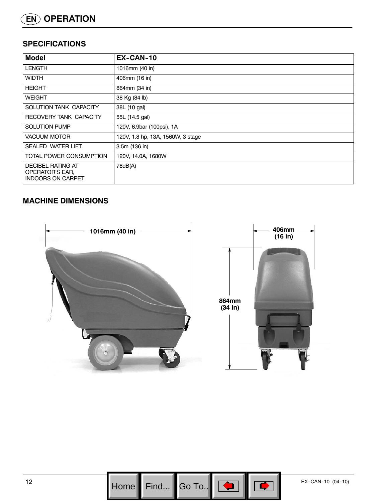# **SPECIFICATIONS**

| <b>Model</b>                                                            | EX-CAN-10                         |  |
|-------------------------------------------------------------------------|-----------------------------------|--|
| <b>LENGTH</b>                                                           | 1016mm (40 in)                    |  |
| <b>WIDTH</b>                                                            | 406mm (16 in)                     |  |
| <b>HEIGHT</b>                                                           | 864mm (34 in)                     |  |
| <b>WEIGHT</b>                                                           | 38 Kg (84 lb)                     |  |
| SOLUTION TANK CAPACITY                                                  | 38L (10 gal)                      |  |
| RECOVERY TANK CAPACITY                                                  | 55L (14.5 gal)                    |  |
| <b>SOLUTION PUMP</b>                                                    | 120V, 6.9bar (100psi), 1A         |  |
| <b>VACUUM MOTOR</b>                                                     | 120V, 1.8 hp, 13A, 1560W, 3 stage |  |
| <b>SEALED WATER LIFT</b>                                                | 3.5m (136 in)                     |  |
| TOTAL POWER CONSUMPTION                                                 | 120V, 14.0A, 1680W                |  |
| <b>DECIBEL RATING AT</b><br>OPERATOR'S EAR,<br><b>INDOORS ON CARPET</b> | 78dB(A)                           |  |

# **MACHINE DIMENSIONS**





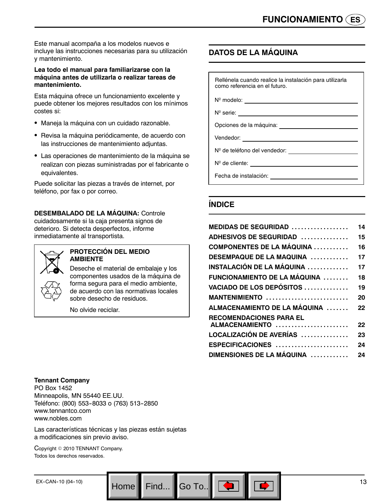Este manual acompaña a los modelos nuevos e incluye las instrucciones necesarias para su utilización y mantenimiento.

#### **Lea todo el manual para familiarizarse con la máquina antes de utilizarla o realizar tareas de mantenimiento.**

Esta máquina ofrece un funcionamiento excelente y puede obtener los mejores resultados con los mínimos costes si:

- Maneja la máquina con un cuidado razonable.
- Revisa la máquina periódicamente, de acuerdo con las instrucciones de mantenimiento adjuntas.
- Las operaciones de mantenimiento de la máquina se realizan con piezas suministradas por el fabricante o equivalentes.

Puede solicitar las piezas a través de internet, por teléfono, por fax o por correo.

**DESEMBALADO DE LA MÁQUINA:** Controle cuidadosamente si la caja presenta signos de deterioro. Si detecta desperfectos, informe inmediatamente al transportista.



#### **PROTECCIÓN DEL MEDIO AMBIENTE**

Deseche el material de embalaje y los componentes usados de la máquina de forma segura para el medio ambiente, de acuerdo con las normativas locales sobre desecho de residuos.

No olvide reciclar.

# **DATOS DE LA MÁQUINA**

Rellénela cuando realice la instalación para utilizarla como referencia en el futuro.

Nº modelo:

N<sup>o</sup> serie: \_

Opciones de la máquina:

Vendedor:

N<sup>o</sup> de teléfono del vendedor:<br>
<u>
and the subset of the subset of the subset of the subset of the subset of the subset of the subset of the subs</u>

N<sup>o</sup> de cliente: <u>contra de cliente</u> de cliente de la contra de la contra de la contra de la contra de la contra de la contra de la contra de la contra de la contra de la contra de la contra de la contra de la contra de la

Fecha de instalación:

# **ÍNDICE**

| <b>MEDIDAS DE SEGURIDAD </b>         | 14 |
|--------------------------------------|----|
| <b>ADHESIVOS DE SEGURIDAD</b>        | 15 |
| <b>COMPONENTES DE LA MÁQUINA</b>     | 16 |
| DESEMPAQUE DE LA MAQUINA             | 17 |
| INSTALACIÓN DE LA MÁQUINA ……………      | 17 |
| FUNCIONAMIENTO DE LA MÁQUINA         | 18 |
| VACIADO DE LOS DEPÓSITOS             | 19 |
| MANTENIMIENTO                        | 20 |
| ALMACENAMIENTO DE LA MÁQUINA         | 22 |
| <b>RECOMENDACIONES PARA EL</b>       |    |
| ALMACENAMIENTO                       | 22 |
| LOCALIZACIÓN DE AVERÍAS              | 23 |
| ESPECIFICACIONES                     | 24 |
| DIMENSIONES DE LA MÁQUINA         24 |    |
|                                      |    |

#### **Tennant Company**

PO Box 1452 Minneapolis, MN 55440 EE.UU. Teléfono: (800) 553-8033 o (763) 513-2850 www.tennantco.com www.nobles.com

Las características técnicas y las piezas están sujetas a modificaciones sin previo aviso.

Copyright © 2010 TENNANT Company. Todos los derechos reservados.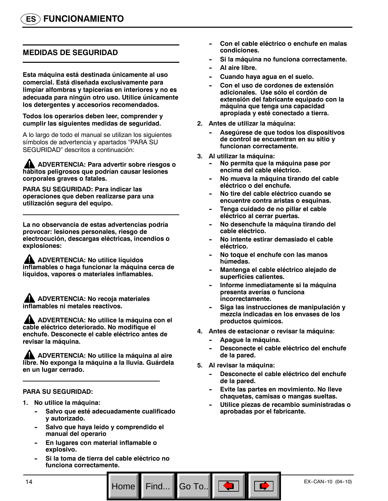# **MEDIDAS DE SEGURIDAD**

**Esta máquina está destinada únicamente al uso comercial. Está diseñada exclusivamente para limpiar alfombras y tapicerías en interiores y no es adecuada para ningún otro uso. Utilice únicamente los detergentes y accesorios recomendados.**

**Todos los operarios deben leer, comprender y cumplir las siguientes medidas de seguridad.**

A lo largo de todo el manual se utilizan los siguientes símbolos de advertencia y apartados "PARA SU SEGURIDAD" descritos a continuación:

**ADVERTENCIA: Para advertir sobre riesgos o hábitos peligrosos que podrían causar lesiones corporales graves o fatales.**

**PARA SU SEGURIDAD: Para indicar las operaciones que deben realizarse para una utilización segura del equipo.**

**La no observancia de estas advertencias podría provocar: lesiones personales, riesgo de electrocución, descargas eléctricas, incendios o explosiones:**

**ADVERTENCIA: No utilice líquidos inflamables o haga funcionar la máquina cerca de líquidos, vapores o materiales inflamables.**

**ADVERTENCIA: No recoja materiales inflamables ni metales reactivos.**

**ADVERTENCIA: No utilice la máquina con el cable eléctrico deteriorado. No modifique el enchufe. Desconecte el cable eléctrico antes de revisar la máquina.**

**ADVERTENCIA: No utilice la máquina al aire libre. No exponga la máquina a la lluvia. Guárdela en un lugar cerrado.**

#### **PARA SU SEGURIDAD:**

- **1. No utilice la máquina:**
	- Salvo que esté adecuadamente cualificado **y autorizado.**
	- Salvo que haya leído y comprendido el **manual del operario**
	- **En lugares con material inflamable o explosivo.**
	- **-- Si la toma de tierra del cable eléctrico no funciona correctamente.**
- Con el cable eléctrico o enchufe en malas **condiciones.**
- Si la máquina no funciona correctamente.
- **Al aire libre.**
- Cuando haya agua en el suelo.
- **Con el uso de cordones de extensión adicionales. Use sólo el cordón de extensión del fabricante equipado con la máquina que tenga una capacidad apropiada y esté conectado a tierra.**
- **2. Antes de utilizar la máquina:**
	- Asegúrese de que todos los dispositivos **de control se encuentran en su sitio y funcionan correctamente.**
- **3. Al utilizar la máquina:**
	- **No permita que la máquina pase por encima del cable eléctrico.**
	- No mueva la máquina tirando del cable **eléctrico o del enchufe.**
	- No tire del cable eléctrico cuando se **encuentre contra aristas o esquinas.**
	- Tenga cuidado de no pillar el cable **eléctrico al cerrar puertas.**
	- **-- No desenchufe la máquina tirando del cable eléctrico.**
	- No intente estirar demasiado el cable **eléctrico.**
	- **No toque el enchufe con las manos húmedas.**
	- Mantenga el cable eléctrico alejado de **superficies calientes.**
	- **Informe inmediatamente si la máquina presenta averías o funciona incorrectamente.**
	- Siga las instrucciones de manipulación y **mezcla indicadas en los envases de los productos químicos.**
- **4. Antes de estacionar o revisar la máquina:**
	- Apague la máquina.
	- Desconecte el cable eléctrico del enchufe **de la pared.**
- **5. Al revisar la máquina:**
	- Desconecte el cable eléctrico del enchufe **de la pared.**
	- **Evite las partes en movimiento. No lleve chaquetas, camisas o mangas sueltas.**
	- **-- Utilice piezas de recambio suministradas o aprobadas por el fabricante.**

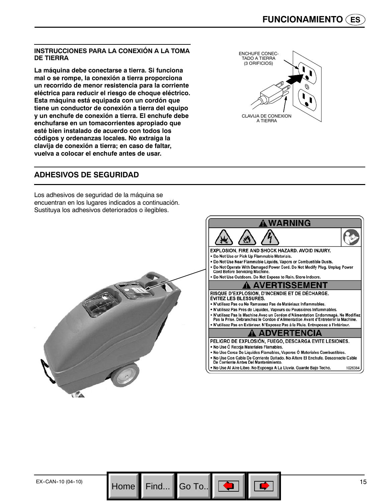#### **INSTRUCCIONES PARA LA CONEXIÓN A LA TOMA DE TIERRA**

**La máquina debe conectarse a tierra. Si funciona mal o se rompe, la conexión a tierra proporciona un recorrido de menor resistencia para la corriente eléctrica para reducir el riesgo de choque eléctrico. Esta máquina está equipada con un cordón que tiene un conductor de conexión a tierra del equipo y un enchufe de conexión a tierra. El enchufe debe enchufarse en un tomacorrientes apropiado que esté bien instalado de acuerdo con todos los códigos y ordenanzas locales. No extraiga la clavija de conexión a tierra; en caso de faltar, vuelva a colocar el enchufe antes de usar.**



### **ADHESIVOS DE SEGURIDAD**

Los adhesivos de seguridad de la máquina se encuentran en los lugares indicados a continuación. Sustituya los adhesivos deteriorados o ilegibles.



Go To..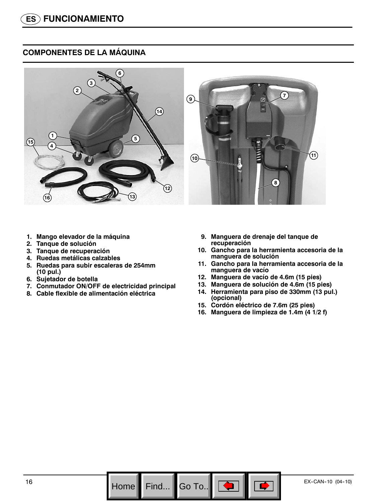# **COMPONENTES DE LA MÁQUINA**



- **1. Mango elevador de la máquina**
- **2. Tanque de solución**
- **3. Tanque de recuperación**
- **4. Ruedas metálicas calzables**
- **5. Ruedas para subir escaleras de 254mm (10 pul.)**
- **6. Sujetador de botella**
- **7. Conmutador ON/OFF de electricidad principal**
- **8. Cable flexible de alimentación eléctrica**
- **9. Manguera de drenaje del tanque de recuperación**
- **10. Gancho para la herramienta accesoria de la manguera de solución**
- **11. Gancho para la herramienta accesoria de la manguera de vacío**
- **12. Manguera de vacío de 4.6m (15 pies)**
- **13. Manguera de solución de 4.6m (15 pies)**
- **14. Herramienta para piso de 330mm (13 pul.) (opcional)**
- **15. Cordón eléctrico de 7.6m (25 pies)**
- **16. Manguera de limpieza de 1.4m (4 1/2 f)**

Go To.. $\|$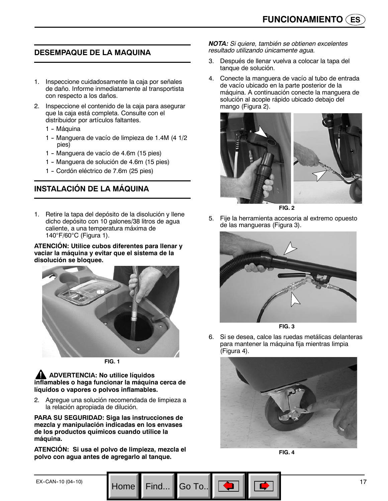## **DESEMPAQUE DE LA MAQUINA**

- 1. Inspeccione cuidadosamente la caja por señales de daño. Informe inmediatamente al transportista con respecto a los daños.
- 2. Inspeccione el contenido de la caja para asegurar que la caja está completa. Consulte con el distribuidor por artículos faltantes.
	- 1 Máquina
	- 1 -- Manguera de vacío de limpieza de 1.4M (4 1/2 pies)
	- 1 Manguera de vacío de 4.6m (15 pies)
	- 1 -- Manguera de solución de 4.6m (15 pies)
	- 1 Cordón eléctrico de 7.6m (25 pies)

# **INSTALACIÓN DE LA MÁQUINA**

1. Retire la tapa del depósito de la disolución y llene dicho depósito con 10 galones/38 litros de agua caliente, a una temperatura máxima de 140°F/60°C (Figura 1).

**ATENCIÓN: Utilice cubos diferentes para llenar y vaciar la máquina y evitar que el sistema de la disolución se bloquee.**



**FIG. 1**

**ADVERTENCIA: No utilice líquidos inflamables o haga funcionar la máquina cerca de líquidos o vapores o polvos inflamables.**

2. Agregue una solución recomendada de limpieza a la relación apropiada de dilución.

**PARA SU SEGURIDAD: Siga las instrucciones de mezcla y manipulación indicadas en los envases de los productos químicos cuando utilice la máquina.**

**ATENCIÓN: Si usa el polvo de limpieza, mezcla el polvo con agua antes de agregarlo al tanque.**

Home Find... Go To.

*NOTA: Si quiere, también se obtienen excelentes resultado utilizando únicamente agua.*

- 3. Después de llenar vuelva a colocar la tapa del tanque de solución.
- 4. Conecte la manguera de vacío al tubo de entrada de vacío ubicado en la parte posterior de la máquina. A continuación conecte la manguera de solución al acople rápido ubicado debajo del mango (Figura 2).



**FIG. 2**

5. Fije la herramienta accesoria al extremo opuesto de las mangueras (Figura 3).





6. Si se desea, calce las ruedas metálicas delanteras para mantener la máquina fija mientras limpia (Figura 4).



**FIG. 4**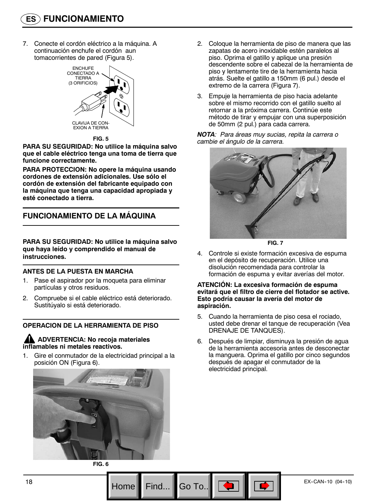7. Conecte el cordón eléctrico a la máquina. A continuación enchufe el cordón aun tomacorrientes de pared (Figura 5).



**FIG. 5**

**PARA SU SEGURIDAD: No utilice la máquina salvo que el cable eléctrico tenga una toma de tierra que funcione correctamente.**

**PARA PROTECCION: No opere la máquina usando cordones de extensión adicionales. Use sólo el cordón de extensión del fabricante equipado con la máquina que tenga una capacidad apropiada y esté conectado a tierra.**

# **FUNCIONAMIENTO DE LA MÁQUINA**

**PARA SU SEGURIDAD: No utilice la máquina salvo que haya leído y comprendido el manual de instrucciones.**

#### **ANTES DE LA PUESTA EN MARCHA**

- 1. Pase el aspirador por la moqueta para eliminar partículas y otros residuos.
- 2. Compruebe si el cable eléctrico está deteriorado. Sustitúyalo si está deteriorado.

#### **OPERACION DE LA HERRAMIENTA DE PISO**

#### **ADVERTENCIA: No recoja materiales inflamables ni metales reactivos.**

1. Gire el conmutador de la electricidad principal a la posición ON (Figura 6).



- 2. Coloque la herramienta de piso de manera que las zapatas de acero inoxidable estén paralelos al piso. Oprima el gatillo y aplique una presión descendente sobre el cabezal de la herramienta de piso y lentamente tire de la herramienta hacia atrás. Suelte el gatillo a 150mm (6 pul.) desde el extremo de la carrera (Figura 7).
- 3. Empuje la herramienta de piso hacia adelante sobre el mismo recorrido con el gatillo suelto al retornar a la próxima carrera. Continúe este método de tirar y empujar con una superposición de 50mm (2 pul.) para cada carrera.

*NOTA: Para áreas muy sucias, repita la carrera o cambie el ángulo de la carrera.*



**FIG. 7**

4. Controle si existe formación excesiva de espuma en el depósito de recuperación. Utilice una disolución recomendada para controlar la formación de espuma y evitar averías del motor.

#### **ATENCIÓN: La excesiva formación de espuma evitará que el filtro de cierre del flotador se active. Esto podría causar la avería del motor de aspiración.**

- 5. Cuando la herramienta de piso cesa el rociado, usted debe drenar el tanque de recuperación (Vea DRENAJE DE TANQUES).
- 6. Después de limpiar, disminuya la presión de agua de la herramienta accesoria antes de desconectar la manguera. Oprima el gatillo por cinco segundos después de apagar el conmutador de la electricidad principal.



Go To.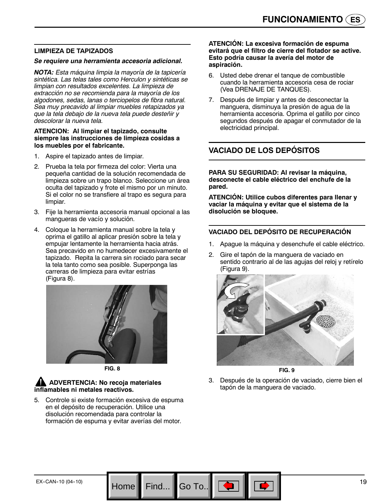#### **LIMPIEZA DE TAPIZADOS**

#### *Se requiere una herramienta accesoria adicional.*

*NOTA: Esta máquina limpia la mayoría de la tapicería sintética. Las telas tales como Herculon y sintéticas se limpian con resultados excelentes. La limpieza de extracción no se recomienda para la mayoría de los algodones, sedas, lanas o terciopelos de fibra natural. Sea muy precavido al limpiar muebles retapizados ya que la tela debajo de la nueva tela puede desteñir y descolorar la nueva tela.*

#### **ATENCION: Al limpiar el tapizado, consulte siempre las instrucciones de limpieza cosidas a los muebles por el fabricante.**

- 1. Aspire el tapizado antes de limpiar.
- 2. Prueba la tela por firmeza del color: Vierta una pequeña cantidad de la solución recomendada de limpieza sobre un trapo blanco. Seleccione un área oculta del tapizado y frote el mismo por un minuto. Si el color no se transfiere al trapo es segura para limpiar.
- 3. Fije la herramienta accesoria manual opcional a las mangueras de vacío y solución.
- 4. Coloque la herramienta manual sobre la tela y oprima el gatillo al aplicar presión sobre la tela y empujar lentamente la herramienta hacia atrás. Sea precavido en no humedecer excesivamente el tapizado. Repita la carrera sin rociado para secar la tela tanto como sea posible. Superponga las carreras de limpieza para evitar estrías (Figura 8).



**FIG. 8**

#### **ADVERTENCIA: No recoja materiales inflamables ni metales reactivos.**

5. Controle si existe formación excesiva de espuma en el depósito de recuperación. Utilice una disolución recomendada para controlar la formación de espuma y evitar averías del motor.

Home Find... Go To.

#### **ATENCIÓN: La excesiva formación de espuma evitará que el filtro de cierre del flotador se active. Esto podría causar la avería del motor de aspiración.**

- 6. Usted debe drenar el tanque de combustible cuando la herramienta accesoria cesa de rociar (Vea DRENAJE DE TANQUES).
- 7. Después de limpiar y antes de desconectar la manguera, disminuya la presión de agua de la herramienta accesoria. Oprima el gatillo por cinco segundos después de apagar el conmutador de la electricidad principal.

# **VACIADO DE LOS DEPÓSITOS**

**PARA SU SEGURIDAD: Al revisar la máquina, desconecte el cable eléctrico del enchufe de la pared.**

**ATENCIÓN: Utilice cubos diferentes para llenar y vaciar la máquina y evitar que el sistema de la disolución se bloquee.**

#### **VACIADO DEL DEPÓSITO DE RECUPERACIÓN**

- 1. Apague la máquina y desenchufe el cable eléctrico.
- 2. Gire el tapón de la manguera de vaciado en sentido contrario al de las agujas del reloj y retírelo (Figura 9).



**FIG. 9**

3. Después de la operación de vaciado, cierre bien el tapón de la manguera de vaciado.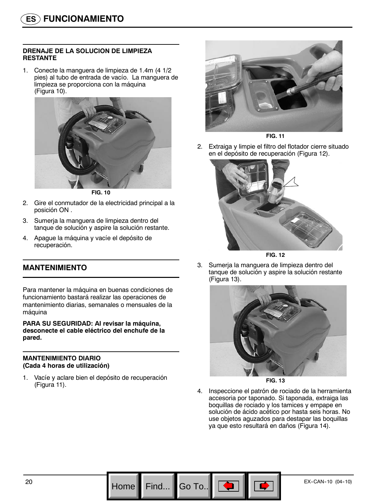#### **DRENAJE DE LA SOLUCION DE LIMPIEZA RESTANTE**

1. Conecte la manguera de limpieza de 1.4m (4 1/2 pies) al tubo de entrada de vacío. La manguera de limpieza se proporciona con la máquina (Figura 10).



**FIG. 10**

- 2. Gire el conmutador de la electricidad principal a la posición ON .
- 3. Sumerja la manguera de limpieza dentro del tanque de solución y aspire la solución restante.
- 4. Apague la máquina y vacíe el depósito de recuperación.

# **MANTENIMIENTO**

Para mantener la máquina en buenas condiciones de funcionamiento bastará realizar las operaciones de mantenimiento diarias, semanales o mensuales de la máquina

**PARA SU SEGURIDAD: Al revisar la máquina, desconecte el cable eléctrico del enchufe de la pared.**

#### **MANTENIMIENTO DIARIO (Cada 4 horas de utilización)**

1. Vacíe y aclare bien el depósito de recuperación (Figura 11).



**FIG. 11**

2. Extraiga y limpie el filtro del flotador cierre situado en el depósito de recuperación (Figura 12).





3. Sumerja la manguera de limpieza dentro del tanque de solución y aspire la solución restante (Figura 13).



**FIG. 13**

4. Inspeccione el patrón de rociado de la herramienta accesoria por taponado. Si taponada, extraiga las boquillas de rociado y los tamices y empape en solución de ácido acético por hasta seis horas. No use objetos aguzados para destapar las boquillas ya que esto resultará en daños (Figura 14).

Go To.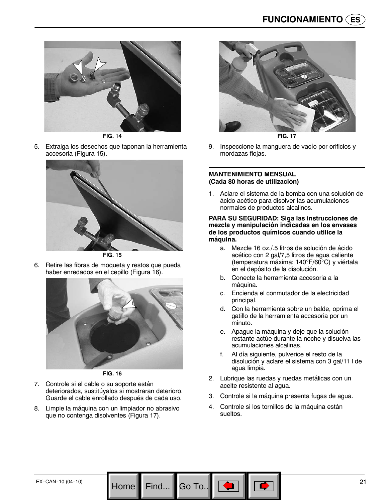

**FIG. 14**

5. Extraiga los desechos que taponan la herramienta accesoria (Figura 15).



**FIG. 15**

6. Retire las fibras de moqueta y restos que pueda haber enredados en el cepillo (Figura 16).



**FIG. 16**

- 7. Controle si el cable o su soporte están deteriorados, sustitúyalos si mostraran deterioro. Guarde el cable enrollado después de cada uso.
- 8. Limpie la máquina con un limpiador no abrasivo que no contenga disolventes (Figura 17).



**FIG. 17**

9. Inspeccione la manguera de vacío por orificios y mordazas flojas.

#### **MANTENIMIENTO MENSUAL (Cada 80 horas de utilización)**

1. Aclare el sistema de la bomba con una solución de ácido acético para disolver las acumulaciones normales de productos alcalinos.

#### **PARA SU SEGURIDAD: Siga las instrucciones de mezcla y manipulación indicadas en los envases de los productos químicos cuando utilice la máquina.**

- a. Mezcle 16 oz./.5 litros de solución de ácido acético con 2 gal/7,5 litros de agua caliente (temperatura máxima: 140°F/60°C) y viértala en el depósito de la disolución.
- b. Conecte la herramienta accesoria a la máquina.
- c. Encienda el conmutador de la electricidad principal.
- d. Con la herramienta sobre un balde, oprima el gatillo de la herramienta accesoria por un minuto.
- e. Apague la máquina y deje que la solución restante actúe durante la noche y disuelva las acumulaciones alcalinas.
- f. Al día siguiente, pulverice el resto de la disolución y aclare el sistema con 3 gal/11 l de agua limpia.
- 2. Lubrique las ruedas y ruedas metálicas con un aceite resistente al agua.
- 3. Controle si la máquina presenta fugas de agua.
- 4. Controle si los tornillos de la máquina están sueltos.

Go To.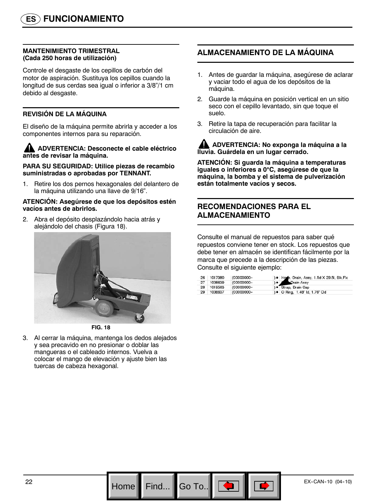#### **MANTENIMIENTO TRIMESTRAL (Cada 250 horas de utilización)**

Controle el desgaste de los cepillos de carbón del motor de aspiración. Sustituya los cepillos cuando la longitud de sus cerdas sea igual o inferior a 3/8"/1 cm debido al desgaste.

#### **REVISIÓN DE LA MÁQUINA**

El diseño de la máquina permite abrirla y acceder a los componentes internos para su reparación.

#### **ADVERTENCIA: Desconecte el cable eléctrico antes de revisar la máquina.**

**PARA SU SEGURIDAD: Utilice piezas de recambio suministradas o aprobadas por TENNANT.**

1. Retire los dos pernos hexagonales del delantero de la máquina utilizando una llave de 9/16".

#### **ATENCIÓN: Asegúrese de que los depósitos estén vacíos antes de abrirlos.**

2. Abra el depósito desplazándolo hacia atrás y alejándolo del chasis (Figura 18).



**FIG. 18**

3. Al cerrar la máquina, mantenga los dedos alejados y sea precavido en no presionar o doblar las mangueras o el cableado internos. Vuelva a colocar el mango de elevación y ajuste bien las tuercas de cabeza hexagonal.

# **ALMACENAMIENTO DE LA MÁQUINA**

- 1. Antes de guardar la máquina, asegúrese de aclarar y vaciar todo el agua de los depósitos de la máquina.
- 2. Guarde la máquina en posición vertical en un sitio seco con el cepillo levantado, sin que toque el suelo.
- 3. Retire la tapa de recuperación para facilitar la circulación de aire.

**ADVERTENCIA: No exponga la máquina a la lluvia. Guárdela en un lugar cerrado.**

**ATENCIÓN: Si guarda la máquina a temperaturas iguales o inferiores a 0**°**C, asegúrese de que la máquina, la bomba y el sistema de pulverización están totalmente vacíos y secos.**

# **RECOMENDACIONES PARA EL ALMACENAMIENTO**

Consulte el manual de repuestos para saber qué repuestos conviene tener en stock. Los repuestos que debe tener en almacén se identifican fácilmente por la marca que precede a la descripción de las piezas. Consulte el siguiente ejemplo:

|    | 26 1017380 | (00000000- | ) . Hose, Drain, Assy, 1.5d X 29.5l, Blk, Flx |
|----|------------|------------|-----------------------------------------------|
| 27 | 1008639    | (00000000- | Drain Assy                                    |
|    | 28 1019563 | (00000000- | ) · Strap, Drain Cap                          |
| 29 | 1008637    | (00000000- | ) • O Ring, 1.48" Id, 1.76" Od                |

Go To..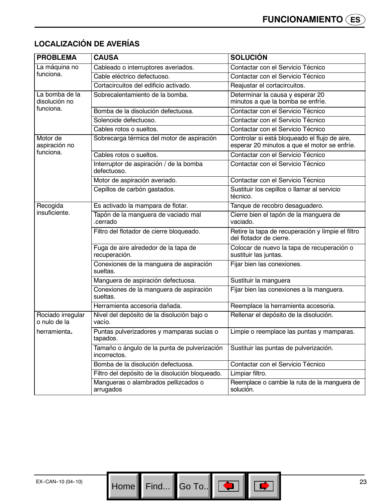| <b>PROBLEMA</b>                   | <b>CAUSA</b>                                                 | <b>SOLUCIÓN</b>                                                                               |
|-----------------------------------|--------------------------------------------------------------|-----------------------------------------------------------------------------------------------|
| La máquina no                     | Cableado o interruptores averiados.                          | Contactar con el Servicio Técnico                                                             |
| funciona.                         | Cable eléctrico defectuoso.                                  | Contactar con el Servicio Técnico                                                             |
|                                   | Cortacircuitos del edificio activado.                        | Reajustar el cortacircuitos.                                                                  |
| La bomba de la<br>disolución no   | Sobrecalentamiento de la bomba.                              | Determinar la causa y esperar 20<br>minutos a que la bomba se enfríe.                         |
| funciona.                         | Bomba de la disolución defectuosa.                           | Contactar con el Servicio Técnico                                                             |
|                                   | Solenoide defectuoso.                                        | Contactar con el Servicio Técnico                                                             |
|                                   | Cables rotos o sueltos.                                      | Contactar con el Servicio Técnico                                                             |
| Motor de<br>aspiración no         | Sobrecarga térmica del motor de aspiración                   | Controlar si está bloqueado el flujo de aire,<br>esperar 20 minutos a que el motor se enfríe. |
| funciona.                         | Cables rotos o sueltos.                                      | Contactar con el Servicio Técnico                                                             |
|                                   | Interruptor de aspiración / de la bomba<br>defectuoso.       | Contactar con el Servicio Técnico                                                             |
|                                   | Motor de aspiración averiado.                                | Contactar con el Servicio Técnico                                                             |
|                                   | Cepillos de carbón gastados.                                 | Sustituir los cepillos o llamar al servicio<br>técnico.                                       |
| Recogida                          | Es activado la mampara de flotar.                            | Tanque de recobro desaguadero.                                                                |
| insuficiente.                     | Tapón de la manguera de vaciado mal<br>.cerrado              | Cierre bien el tapón de la manguera de<br>vaciado.                                            |
|                                   | Filtro del flotador de cierre bloqueado.                     | Retire la tapa de recuperación y limpie el filtro<br>del flotador de cierre.                  |
|                                   | Fuga de aire alrededor de la tapa de<br>recuperación.        | Colocar de nuevo la tapa de recuperación o<br>sustituir las juntas.                           |
|                                   | Conexiones de la manguera de aspiración<br>sueltas.          | Fijar bien las conexiones.                                                                    |
|                                   | Manguera de aspiración defectuosa.                           | Sustituir la manguera                                                                         |
|                                   | Conexiones de la manguera de aspiración<br>sueltas.          | Fijar bien las conexiones a la manguera.                                                      |
|                                   | Herramienta accesoria dañada.                                | Reemplace la herramienta accesoria.                                                           |
| Rociado irregular<br>o nulo de la | Nivel del depósito de la disolución bajo o<br>vacío.         | Rellenar el depósito de la disolución.                                                        |
| herramienta.                      | Puntas pulverizadores y mamparas sucias o<br>tapados.        | Limpie o reemplace las puntas y mamparas.                                                     |
|                                   | Tamaño o ángulo de la punta de pulverización<br>incorrectos. | Sustituir las puntas de pulverización.                                                        |
|                                   | Bomba de la disolución defectuosa.                           | Contactar con el Servicio Técnico                                                             |
|                                   | Filtro del depósito de la disolución bloqueado.              | Limpiar filtro.                                                                               |
|                                   | Mangueras o alambrados pellizcados o<br>arrugados            | Reemplace o cambie la ruta de la manguera de<br>solución.                                     |

# **LOCALIZACIÓN DE AVERÍAS**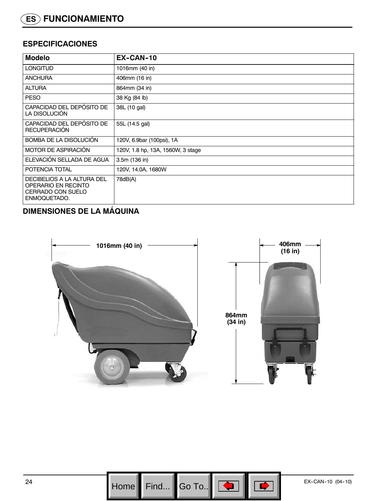# **ESPECIFICACIONES**

| <b>Modelo</b>                                                                                 | EX-CAN-10                         |  |
|-----------------------------------------------------------------------------------------------|-----------------------------------|--|
| <b>LONGITUD</b>                                                                               | 1016mm (40 in)                    |  |
| <b>ANCHURA</b>                                                                                | 406mm (16 in)                     |  |
| <b>ALTURA</b>                                                                                 | 864mm (34 in)                     |  |
| <b>PESO</b>                                                                                   | 38 Kg (84 lb)                     |  |
| CAPACIDAD DEL DEPÓSITO DE<br>LA DISOLUCIÓN                                                    | 38L (10 gal)                      |  |
| CAPACIDAD DEL DEPÓSITO DE<br><b>RECUPERACIÓN</b>                                              | 55L (14.5 gal)                    |  |
| BOMBA DE LA DISOLUCIÓN                                                                        | 120V, 6.9bar (100psi), 1A         |  |
| MOTOR DE ASPIRACIÓN                                                                           | 120V, 1.8 hp, 13A, 1560W, 3 stage |  |
| ELEVACIÓN SELLADA DE AGUA                                                                     | 3.5m (136 in)                     |  |
| POTENCIA TOTAL                                                                                | 120V, 14.0A, 1680W                |  |
| DECIBELIOS A LA ALTURA DEL<br>OPERARIO EN RECINTO<br><b>CERRADO CON SUELO</b><br>ENMOQUETADO. | 78dB(A)                           |  |

# **DIMENSIONES DE LA MÁQUINA**



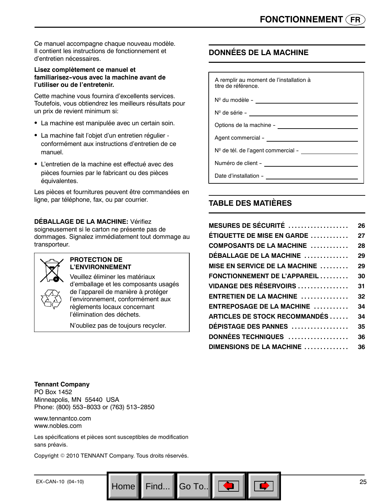Ce manuel accompagne chaque nouveau modèle. Il contient les instructions de fonctionnement et d'entretien nécessaires.

#### **Lisez complètement ce manuel et familiarisez--vous avec la machine avant de l'utiliser ou de l'entretenir.**

Cette machine vous fournira d'excellents services. Toutefois, vous obtiendrez les meilleurs résultats pour un prix de revient minimum si:

- La machine est manipulée avec un certain soin.
- La machine fait l'objet d'un entretien régulier conformément aux instructions d'entretien de ce manuel.
- L'entretien de la machine est effectué avec des pièces fournies par le fabricant ou des pièces équivalentes.

Les pièces et fournitures peuvent être commandées en ligne, par téléphone, fax, ou par courrier.

#### **DÉBALLAGE DE LA MACHINE:** Vérifiez

soigneusement si le carton ne présente pas de dommages. Signalez immédiatement tout dommage au transporteur.



#### **PROTECTION DE L'ENVIRONNEMENT**

Veuillez éliminer les matériaux d'emballage et les composants usagés de l'appareil de manière à protéger l'environnement, conformément aux règlements locaux concernant l'élimination des déchets.

N'oubliez pas de toujours recycler.

# **DONNÉES DE LA MACHINE**

| A remplir au moment de l'installation à<br>titre de référence. |  |
|----------------------------------------------------------------|--|
|                                                                |  |
| N <sup>o</sup> de série - <u>______________________</u>        |  |
|                                                                |  |
| Agent commercial -                                             |  |
| Nº de tél. de l'agent commercial -                             |  |
| Numéro de client - <u>_____________</u>                        |  |
| Date d'installation -                                          |  |

# **TABLE DES MATIÈRES**

| MESURES DE SÉCURITÉ $\,\ldots\ldots\ldots\ldots\ldots\,$ | 26 |
|----------------------------------------------------------|----|
| <b>ÉTIQUETTE DE MISE EN GARDE </b>                       | 27 |
| COMPOSANTS DE LA MACHINE                                 | 28 |
| <b>DÉBALLAGE DE LA MACHINE</b>                           | 29 |
| <b>MISE EN SERVICE DE LA MACHINE </b>                    | 29 |
| FONCTIONNEMENT DE L'APPAREIL                             | 30 |
| <b>VIDANGE DES RÉSERVOIRS</b>                            | 31 |
| ENTRETIEN DE LA MACHINE                                  | 32 |
| ENTREPOSAGE DE LA MACHINE                                | 34 |
| <b>ARTICLES DE STOCK RECOMMANDÉS</b>                     | 34 |
| DÉPISTAGE DES PANNES                                     | 35 |
| DONNÉES TECHNIQUES                                       | 36 |
| DIMENSIONS DE LA MACHINE                                 | 36 |
|                                                          |    |

#### **Tennant Company**

PO Box 1452 Minneapolis, MN 55440 USA Phone: (800) 553-8033 or (763) 513-2850

www.tennantco.com www.nobles.com

Les spécifications et pièces sont susceptibles de modification sans préavis.

Copyright © 2010 TENNANT Company. Tous droits réservés.

Go To.. $||$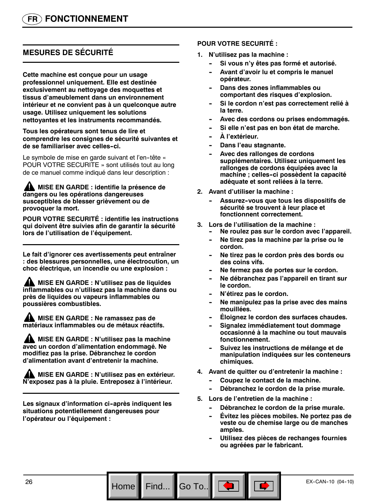# **MESURES DE SÉCURITÉ**

**Cette machine est conçue pour un usage professionnel uniquement. Elle est destinée exclusivement au nettoyage des moquettes et tissus d'ameublement dans un environnement intérieur et ne convient pas à un quelconque autre usage. Utilisez uniquement les solutions nettoyantes et les instruments recommandés.**

#### **Tous les opérateurs sont tenus de lire et comprendre les consignes de sécurité suivantes et de se familiariser avec celles--ci.**

Le symbole de mise en garde suivant et l'en-tête « POUR VOTRE SECURITE » sont utilisés tout au long de ce manuel comme indiqué dans leur description :

#### **MISE EN GARDE : identifie la présence de dangers ou les opérations dangereuses susceptibles de blesser grièvement ou de provoquer la mort.**

**POUR VOTRE SECURITÉ : identifie les instructions qui doivent être suivies afin de garantir la sécurité lors de l'utilisation de l'équipement.**

**Le fait d'ignorer ces avertissements peut entraîner : des blessures personnelles, une électrocution, un choc électrique, un incendie ou une explosion :**

**MISE EN GARDE : N'utilisez pas de liquides inflammables ou n'utilisez pas la machine dans ou près de liquides ou vapeurs inflammables ou poussières combustibles.**

**MISE EN GARDE : Ne ramassez pas de matériaux inflammables ou de métaux réactifs.**

**MISE EN GARDE : N'utilisez pas la machine avec un cordon d'alimentation endommagé. Ne modifiez pas la prise. Débranchez le cordon d'alimentation avant d'entretenir la machine.**

**MISE EN GARDE : N'utilisez pas en extérieur. N'exposez pas à la pluie. Entreposez à l'intérieur.**

Les signaux d'information ci-après indiquent les **situations potentiellement dangereuses pour l'opérateur ou l'équipement :**

#### **POUR VOTRE SECURITÉ :**

- **1. N'utilisez pas la machine :**
	- Si vous n'y êtes pas formé et autorisé.
	- Avant d'avoir lu et compris le manuel **opérateur.**
	- **Dans des zones inflammables ou comportant des risques d'explosion.**
	- Si le cordon n'est pas correctement relié à **la terre.**
	- Avec des cordons ou prises endommagés.
	- Si elle n'est pas en bon état de marche.
	- $\mathbf{\hat{A}}$  l'extérieur.
	- **Dans l'eau stagnante.**
	- Avec des rallonges de cordons **supplémentaires. Utilisez uniquement les rallonges de cordons équipées avec la machine ; celles--ci possèdent la capacité adéquate et sont reliées à la terre.**
- **2. Avant d'utiliser la machine :**
	- Assurez-vous que tous les dispositifs de **sécurité se trouvent à leur place et fonctionnent correctement.**
- **3. Lors de l'utilisation de la machine :**
	- Ne roulez pas sur le cordon avec l'appareil.
	- Ne tirez pas la machine par la prise ou le **cordon.**
	- Ne tirez pas le cordon près des bords ou **des coins vifs.**
	- Ne fermez pas de portes sur le cordon.
	- **-- Ne débranchez pas l'appareil en tirant sur le cordon.**
	- $N'$ étirez pas le cordon.
	- Ne manipulez pas la prise avec des mains **mouillées.**
	- **Éloignez le cordon des surfaces chaudes.**
	- **Signalez immédiatement tout dommage occasionné à la machine ou tout mauvais fonctionnement.**
	- Suivez les instructions de mélange et de **manipulation indiquées sur les conteneurs chimiques.**
- **4. Avant de quitter ou d'entretenir la machine :**
	- Coupez le contact de la machine.
	- Débranchez le cordon de la prise murale.
- **5. Lors de l'entretien de la machine :**

Go To..

- Débranchez le cordon de la prise murale.
- **Évitez les pièces mobiles. Ne portez pas de veste ou de chemise large ou de manches amples.**
- Utilisez des pièces de rechanges fournies **ou agréées par le fabricant.**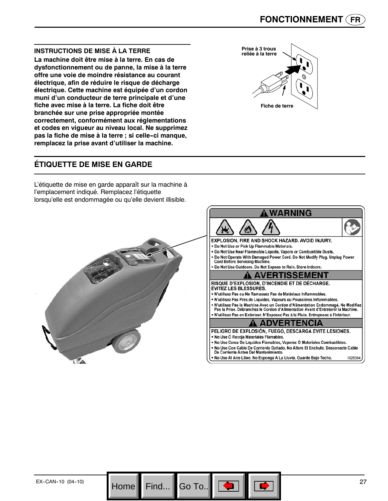#### **INSTRUCTIONS DE MISE À LA TERRE**

**La machine doit être mise à la terre. En cas de dysfonctionnement ou de panne, la mise à la terre offre une voie de moindre résistance au courant électrique, afin de réduire le risque de décharge électrique. Cette machine est équipée d'un cordon muni d'un conducteur de terre principale et d'une fiche avec mise à la terre. La fiche doit être branchée sur une prise appropriée montée correctement, conformément aux réglementations et codes en vigueur au niveau local. Ne supprimez pas la fiche de mise à la terre ; si celle--ci manque, remplacez la prise avant d'utiliser la machine.**

# **ÉTIQUETTE DE MISE EN GARDE**

L'étiquette de mise en garde apparaît sur la machine à l'emplacement indiqué. Remplacez l'étiquette lorsqu'elle est endommagée ou qu'elle devient illisible.





Go To..

 $\pi_{\Lambda}$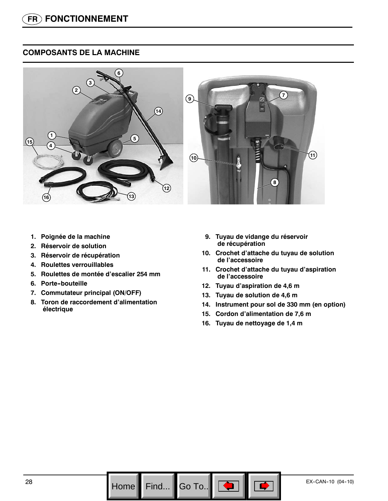# **COMPOSANTS DE LA MACHINE**



- **1. Poignée de la machine**
- **2. Réservoir de solution**
- **3. Réservoir de récupération**
- **4. Roulettes verrouillables**
- **5. Roulettes de montée d'escalier 254 mm**
- **6. Porte--bouteille**
- **7. Commutateur principal (ON/OFF)**
- **8. Toron de raccordement d'alimentation électrique**
- **9. Tuyau de vidange du réservoir de récupération**
- **10. Crochet d'attache du tuyau de solution de l'accessoire**
- **11. Crochet d'attache du tuyau d'aspiration de l'accessoire**
- **12. Tuyau d'aspiration de 4,6 m**
- **13. Tuyau de solution de 4,6 m**
- **14. Instrument pour sol de 330 mm (en option)**
- **15. Cordon d'alimentation de 7,6 m**
- **16. Tuyau de nettoyage de 1,4 m**

Go To.. $\|$ 

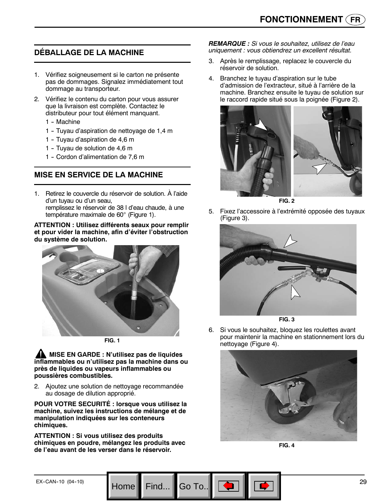# **DÉBALLAGE DE LA MACHINE**

- 1. Vérifiez soigneusement si le carton ne présente pas de dommages. Signalez immédiatement tout dommage au transporteur.
- 2. Vérifiez le contenu du carton pour vous assurer que la livraison est complète. Contactez le distributeur pour tout élément manquant.
	- 1 Machine
	- 1 -- Tuyau d'aspiration de nettoyage de 1,4 m
	- 1 Tuyau d'aspiration de 4,6 m
	- 1 Tuyau de solution de 4,6 m
	- 1 Cordon d'alimentation de 7,6 m

# **MISE EN SERVICE DE LA MACHINE**

1. Retirez le couvercle du réservoir de solution. À l'aide d'un tuyau ou d'un seau, remplissez le réservoir de 38 l d'eau chaude, à une température maximale de 60° (Figure 1).

#### **ATTENTION : Utilisez différents seaux pour remplir et pour vider la machine, afin d'éviter l'obstruction du système de solution.**





**A** MISE EN GARDE : N'utilisez pas de liquides **inflammables ou n'utilisez pas la machine dans ou près de liquides ou vapeurs inflammables ou poussières combustibles.**

2. Ajoutez une solution de nettoyage recommandée au dosage de dilution approprié.

**POUR VOTRE SECURITÉ : lorsque vous utilisez la machine, suivez les instructions de mélange et de manipulation indiquées sur les conteneurs chimiques.**

**ATTENTION : Si vous utilisez des produits chimiques en poudre, mélangez les produits avec de l'eau avant de les verser dans le réservoir.**

Go To.

*REMARQUE : Si vous le souhaitez, utilisez de l'eau uniquement : vous obtiendrez un excellent résultat.*

- 3. Après le remplissage, replacez le couvercle du réservoir de solution.
- 4. Branchez le tuyau d'aspiration sur le tube d'admission de l'extracteur, situé à l'arrière de la machine. Branchez ensuite le tuyau de solution sur le raccord rapide situé sous la poignée (Figure 2).



**FIG. 2**

5. Fixez l'accessoire à l'extrémité opposée des tuyaux (Figure 3).





6. Si vous le souhaitez, bloquez les roulettes avant pour maintenir la machine en stationnement lors du nettoyage (Figure 4).



**FIG. 4**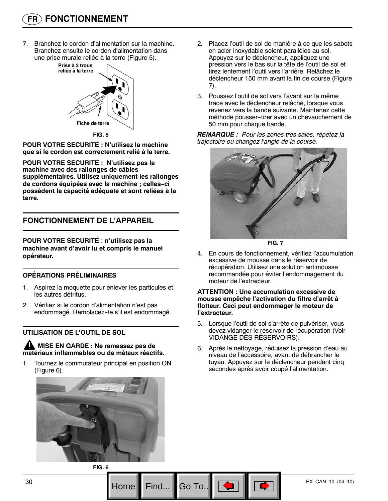7. Branchez le cordon d'alimentation sur la machine. Branchez ensuite le cordon d'alimentation dans une prise murale reliée à la terre (Figure 5).



**POUR VOTRE SECURITÉ : N'utilisez la machine que si le cordon est correctement relié à la terre.**

**POUR VOTRE SECURITÉ : N'utilisez pas la machine avec des rallonges de câbles supplémentaires. Utilisez uniquement les rallonges de cordons équipées avec la machine ; celles--ci possèdent la capacité adéquate et sont reliées à la terre.**

# **FONCTIONNEMENT DE L'APPAREIL**

**POUR VOTRE SECURITÉ** : **n'utilisez pas la machine avant d'avoir lu et compris le manuel opérateur.**

#### **OPÉRATIONS PRÉLIMINAIRES**

- 1. Aspirez la moquette pour enlever les particules et les autres détritus.
- 2. Vérifiez si le cordon d'alimentation n'est pas endommagé. Remplacez-le s'il est endommagé.

#### **UTILISATION DE L'OUTIL DE SOL**

**MISE EN GARDE : Ne ramassez pas de matériaux inflammables ou de métaux réactifs.**

1. Tournez le commutateur principal en position ON (Figure 6).



- 2. Placez l'outil de sol de manière à ce que les sabots en acier inoxydable soient parallèles au sol. Appuyez sur le déclencheur, appliquez une pression vers le bas sur la tête de l'outil de sol et tirez lentement l'outil vers l'arrière. Relâchez le déclencheur 150 mm avant la fin de course (Figure 7).
- 3. Poussez l'outil de sol vers l'avant sur la même trace avec le déclencheur relâché, lorsque vous revenez vers la bande suivante. Maintenez cette méthode pousser--tirer avec un chevauchement de 50 mm pour chaque bande.

*REMARQUE : Pour les zones très sales, répétez la trajectoire ou changez l'angle de la course.*





4. En cours de fonctionnement, vérifiez l'accumulation excessive de mousse dans le réservoir de récupération. Utilisez une solution antimousse recommandée pour éviter l'endommagement du moteur de l'extracteur.

#### **ATTENTION : Une accumulation excessive de mousse empêche l'activation du filtre d'arrêt à flotteur. Ceci peut endommager le moteur de l'extracteur.**

- 5. Lorsque l'outil de sol s'arrête de pulvériser, vous devez vidanger le réservoir de récupération (Voir VIDANGE DES RÉSERVOIRS).
- 6. Après le nettoyage, réduisez la pression d'eau au niveau de l'accessoire, avant de débrancher le tuyau. Appuyez sur le déclencheur pendant cinq secondes après avoir coupé l'alimentation.

**FIG. 6**

Go To.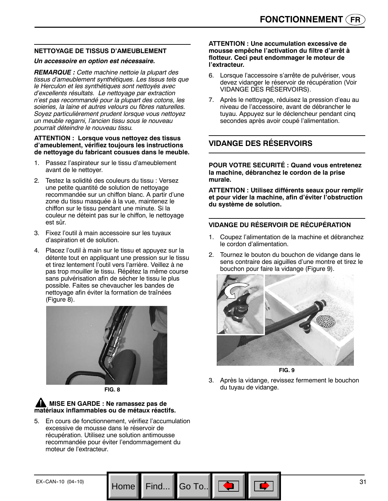#### **NETTOYAGE DE TISSUS D'AMEUBLEMENT**

#### *Un accessoire en option est nécessaire.*

*REMARQUE : Cette machine nettoie la plupart des tissus d'ameublement synthétiques. Les tissus tels que le Herculon et les synthétiques sont nettoyés avec d'excellents résultats. Le nettoyage par extraction n'est pas recommandé pour la plupart des cotons, les soieries, la laine et autres velours ou fibres naturelles. Soyez particulièrement prudent lorsque vous nettoyez un meuble regarni, l'ancien tissu sous le nouveau pourrait déteindre le nouveau tissu.*

#### **ATTENTION : Lorsque vous nettoyez des tissus d'ameublement, vérifiez toujours les instructions de nettoyage du fabricant cousues dans le meuble.**

- 1. Passez l'aspirateur sur le tissu d'ameublement avant de le nettoyer.
- 2. Testez la solidité des couleurs du tissu : Versez une petite quantité de solution de nettoyage recommandée sur un chiffon blanc. A partir d'une zone du tissu masquée à la vue, maintenez le chiffon sur le tissu pendant une minute. Si la couleur ne déteint pas sur le chiffon, le nettoyage est sûr.
- 3. Fixez l'outil à main accessoire sur les tuyaux d'aspiration et de solution.
- 4. Placez l'outil à main sur le tissu et appuyez sur la détente tout en appliquant une pression sur le tissu et tirez lentement l'outil vers l'arrière. Veillez à ne pas trop mouiller le tissu. Répétez la même course sans pulvérisation afin de sécher le tissu le plus possible. Faites se chevaucher les bandes de nettoyage afin éviter la formation de traînées (Figure 8).





# **MISE EN GARDE : Ne ramassez pas de matériaux inflammables ou de métaux réactifs.**

5. En cours de fonctionnement, vérifiez l'accumulation excessive de mousse dans le réservoir de récupération. Utilisez une solution antimousse recommandée pour éviter l'endommagement du moteur de l'extracteur.

Go To.

#### **ATTENTION : Une accumulation excessive de mousse empêche l'activation du filtre d'arrêt à flotteur. Ceci peut endommager le moteur de l'extracteur.**

- 6. Lorsque l'accessoire s'arrête de pulvériser, vous devez vidanger le réservoir de récupération (Voir VIDANGE DES RÉSERVOIRS).
- 7. Après le nettoyage, réduisez la pression d'eau au niveau de l'accessoire, avant de débrancher le tuyau. Appuyez sur le déclencheur pendant cinq secondes après avoir coupé l'alimentation.

# **VIDANGE DES RÉSERVOIRS**

**POUR VOTRE SECURITÉ : Quand vous entretenez la machine, débranchez le cordon de la prise murale.**

**ATTENTION : Utilisez différents seaux pour remplir et pour vider la machine, afin d'éviter l'obstruction du système de solution.**

#### **VIDANGE DU RÉSERVOIR DE RÉCUPÉRATION**

- 1. Coupez l'alimentation de la machine et débranchez le cordon d'alimentation.
- 2. Tournez le bouton du bouchon de vidange dans le sens contraire des aiguilles d'une montre et tirez le bouchon pour faire la vidange (Figure 9).



**FIG. 9**

3. Après la vidange, revissez fermement le bouchon du tuyau de vidange.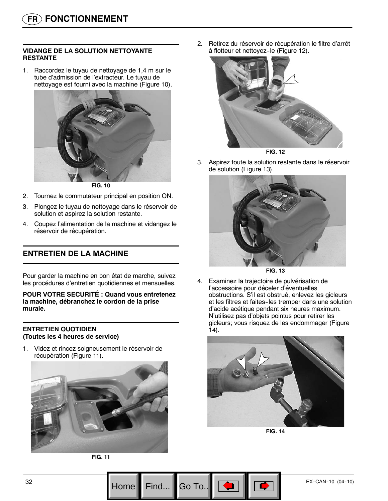#### **VIDANGE DE LA SOLUTION NETTOYANTE RESTANTE**

1. Raccordez le tuyau de nettoyage de 1,4 m sur le tube d'admission de l'extracteur. Le tuyau de nettoyage est fourni avec la machine (Figure 10).



**FIG. 10**

- 2. Tournez le commutateur principal en position ON.
- 3. Plongez le tuyau de nettoyage dans le réservoir de solution et aspirez la solution restante.
- 4. Coupez l'alimentation de la machine et vidangez le réservoir de récupération.

# **ENTRETIEN DE LA MACHINE**

Pour garder la machine en bon état de marche, suivez les procédures d'entretien quotidiennes et mensuelles.

**POUR VOTRE SECURITÉ : Quand vous entretenez la machine, débranchez le cordon de la prise murale.**

#### **ENTRETIEN QUOTIDIEN (Toutes les 4 heures de service)**

1. Videz et rincez soigneusement le réservoir de récupération (Figure 11).





2. Retirez du réservoir de récupération le filtre d'arrêt à flotteur et nettoyez-le (Figure 12).





3. Aspirez toute la solution restante dans le réservoir de solution (Figure 13).



**FIG. 13**

4. Examinez la trajectoire de pulvérisation de l'accessoire pour déceler d'éventuelles obstructions. S'il est obstrué, enlevez les gicleurs et les filtres et faites-les tremper dans une solution d'acide acétique pendant six heures maximum. N'utilisez pas d'objets pointus pour retirer les gicleurs; vous risquez de les endommager (Figure 14).



**FIG. 14**

Go To.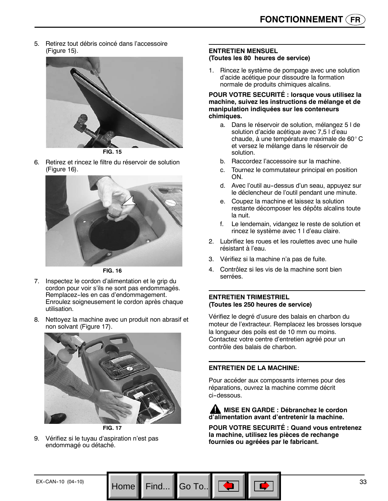5. Retirez tout débris coincé dans l'accessoire (Figure 15).



**FIG. 15**

6. Retirez et rincez le filtre du réservoir de solution (Figure 16).



**FIG. 16**

- 7. Inspectez le cordon d'alimentation et le grip du cordon pour voir s'ils ne sont pas endommagés. Remplacez--les en cas d'endommagement. Enroulez soigneusement le cordon après chaque utilisation.
- 8. Nettoyez la machine avec un produit non abrasif et non solvant (Figure 17).





9. Vérifiez si le tuyau d'aspiration n'est pas endommagé ou détaché.

#### **ENTRETIEN MENSUEL (Toutes les 80 heures de service)**

1. Rincez le système de pompage avec une solution d'acide acétique pour dissoudre la formation normale de produits chimiques alcalins.

#### **POUR VOTRE SECURITÉ : lorsque vous utilisez la machine, suivez les instructions de mélange et de manipulation indiquées sur les conteneurs chimiques.**

- a. Dans le réservoir de solution, mélangez 5 l de solution d'acide acétique avec 7,5 l d'eau chaude, à une température maximale de 60°C et versez le mélange dans le réservoir de solution.
- b. Raccordez l'accessoire sur la machine.
- c. Tournez le commutateur principal en position ON.
- d. Avec l'outil au-dessus d'un seau, appuyez sur le déclencheur de l'outil pendant une minute.
- e. Coupez la machine et laissez la solution restante décomposer les dépôts alcalins toute la nuit.
- f. Le lendemain, vidangez le reste de solution et rincez le système avec 1 l d'eau claire.
- 2. Lubrifiez les roues et les roulettes avec une huile résistant à l'eau.
- 3. Vérifiez si la machine n'a pas de fuite.
- 4. Contrôlez si les vis de la machine sont bien serrées.

#### **ENTRETIEN TRIMESTRIEL (Toutes les 250 heures de service)**

Vérifiez le degré d'usure des balais en charbon du moteur de l'extracteur. Remplacez les brosses lorsque la longueur des poils est de 10 mm ou moins. Contactez votre centre d'entretien agréé pour un contrôle des balais de charbon.

#### **ENTRETIEN DE LA MACHINE:**

Go To.

Pour accéder aux composants internes pour des réparations, ouvrez la machine comme décrit ci-dessous.

**MISE EN GARDE : Débranchez le cordon d'alimentation avant d'entretenir la machine.**

**POUR VOTRE SECURITÉ : Quand vous entretenez la machine, utilisez les pièces de rechange fournies ou agréées par le fabricant.**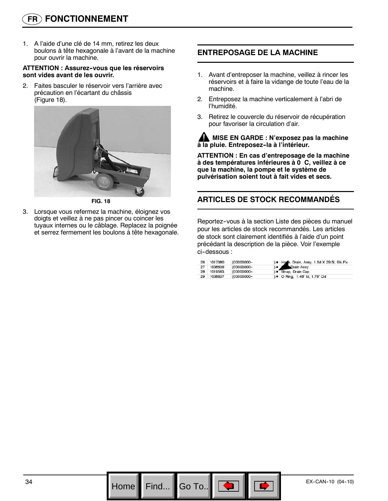# **FR FONCTIONNEMENT**

1. A l'aide d'une clé de 14 mm, retirez les deux boulons à tête hexagonale à l'avant de la machine pour ouvrir la machine.

#### **ATTENTION : Assurez--vous que les réservoirs sont vides avant de les ouvrir.**

2. Faites basculer le réservoir vers l'arrière avec précaution en l'écartant du châssis (Figure 18).



**FIG. 18**

3. Lorsque vous refermez la machine, éloignez vos doigts et veillez à ne pas pincer ou coincer les tuyaux internes ou le câblage. Replacez la poignée et serrez fermement les boulons à tête hexagonale.

# **ENTREPOSAGE DE LA MACHINE**

- 1. Avant d'entreposer la machine, veillez à rincer les réservoirs et à faire la vidange de toute l'eau de la machine.
- 2. Entreposez la machine verticalement à l'abri de l'humidité.
- 3. Retirez le couvercle du réservoir de récupération pour favoriser la circulation d'air.

#### **MISE EN GARDE : N'exposez pas la machine à la pluie. Entreposez--la à l'intérieur.**

**ATTENTION : En cas d'entreposage de la machine à des températures inférieures à 0 C, veillez à ce** ٛ **que la machine, la pompe et le système de pulvérisation soient tout à fait vides et secs.**

# **ARTICLES DE STOCK RECOMMANDÉS**

Reportez--vous à la section Liste des pièces du manuel pour les articles de stock recommandés. Les articles de stock sont clairement identifiés à l'aide d'un point précédant la description de la pièce. Voir l'exemple ci-dessous :

|    | 26 1017380 | (00000000- | ) . Hose, Drain, Assy, 1.5d X 29.5l, Blk, Flx |
|----|------------|------------|-----------------------------------------------|
| 27 | 1008639    | (00000000- | Drain Assy<br>$\bullet$ $\theta$              |
|    | 28 1019563 | (00000000- | ) · Strap, Drain Cap                          |
| 29 | 1008637    | (00000000- | ) • O Ring, 1.48" Id, 1.76" Od                |

Go To.. $\|$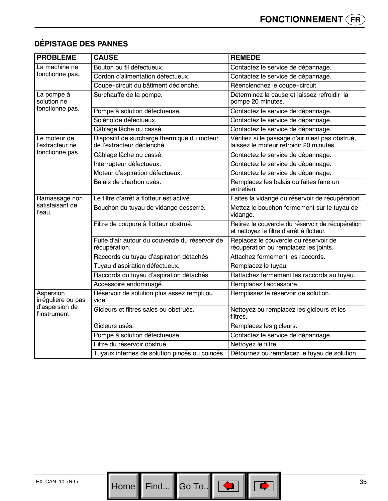| <b>PROBLÈME</b>                                                    | <b>CAUSE</b>                                                              | <b>REMÈDE</b>                                                                                  |
|--------------------------------------------------------------------|---------------------------------------------------------------------------|------------------------------------------------------------------------------------------------|
| La machine ne<br>fonctionne pas.                                   | Bouton ou fil défectueux.                                                 | Contactez le service de dépannage.                                                             |
|                                                                    | Cordon d'alimentation défectueux.                                         | Contactez le service de dépannage.                                                             |
|                                                                    | Coupe-circuit du bâtiment déclenché.                                      | Réenclenchez le coupe-circuit.                                                                 |
| La pompe à<br>solution ne<br>fonctionne pas.                       | Surchauffe de la pompe.                                                   | Déterminez la cause et laissez refroidir la<br>pompe 20 minutes.                               |
|                                                                    | Pompe à solution défectueuse.                                             | Contactez le service de dépannage.                                                             |
|                                                                    | Solénoïde défectueux.                                                     | Contactez le service de dépannage.                                                             |
|                                                                    | Câblage lâche ou cassé.                                                   | Contactez le service de dépannage.                                                             |
| Le moteur de<br>l'extracteur ne<br>fonctionne pas.                 | Dispositif de surcharge thermique du moteur<br>de l'extracteur déclenché. | Vérifiez si le passage d'air n'est pas obstrué,<br>laissez le moteur refroidir 20 minutes.     |
|                                                                    | Câblage lâche ou cassé.                                                   | Contactez le service de dépannage.                                                             |
|                                                                    | Interrupteur défectueux.                                                  | Contactez le service de dépannage.                                                             |
|                                                                    | Moteur d'aspiration défectueux.                                           | Contactez le service de dépannage.                                                             |
|                                                                    | Balais de charbon usés.                                                   | Remplacez les balais ou faites faire un<br>entretien.                                          |
| Ramassage non<br>satisfaisant de<br>l'eau.                         | Le filtre d'arrêt à flotteur est activé.                                  | Faites la vidange du réservoir de récupération.                                                |
|                                                                    | Bouchon du tuyau de vidange desserré.                                     | Mettez le bouchon fermement sur le tuyau de<br>vidange.                                        |
|                                                                    | Filtre de coupure à flotteur obstrué.                                     | Retirez le couvercle du réservoir de récupération<br>et nettoyez le filtre d'arrêt à flotteur. |
|                                                                    | Fuite d'air autour du couvercle du réservoir de<br>récupération.          | Replacez le couvercle du réservoir de<br>récupération ou remplacez les joints.                 |
|                                                                    | Raccords du tuyau d'aspiration détachés.                                  | Attachez fermement les raccords.                                                               |
|                                                                    | Tuyau d'aspiration défectueux.                                            | Remplacez le tuyau.                                                                            |
|                                                                    | Raccords du tuyau d'aspiration détachés.                                  | Rattachez fermement les raccords au tuyau.                                                     |
|                                                                    | Accessoire endommagé.                                                     | Remplacez l'accessoire.                                                                        |
| Aspersion<br>irrégulière ou pas<br>d'aspersion de<br>l'instrument. | Réservoir de solution plus assez rempli ou<br>vide.                       | Remplissez le réservoir de solution.                                                           |
|                                                                    | Gicleurs et filtres sales ou obstrués.                                    | Nettoyez ou remplacez les gicleurs et les<br>filtres.                                          |
|                                                                    | Gicleurs usés.                                                            | Remplacez les gicleurs.                                                                        |
|                                                                    | Pompe à solution défectueuse.                                             | Contactez le service de dépannage.                                                             |
|                                                                    | Filtre du réservoir obstrué.                                              | Nettoyez le filtre.                                                                            |
|                                                                    | Tuyaux internes de solution pincés ou coincés                             | Détournez ou remplacez le tuyau de solution.                                                   |

# **DÉPISTAGE DES PANNES**